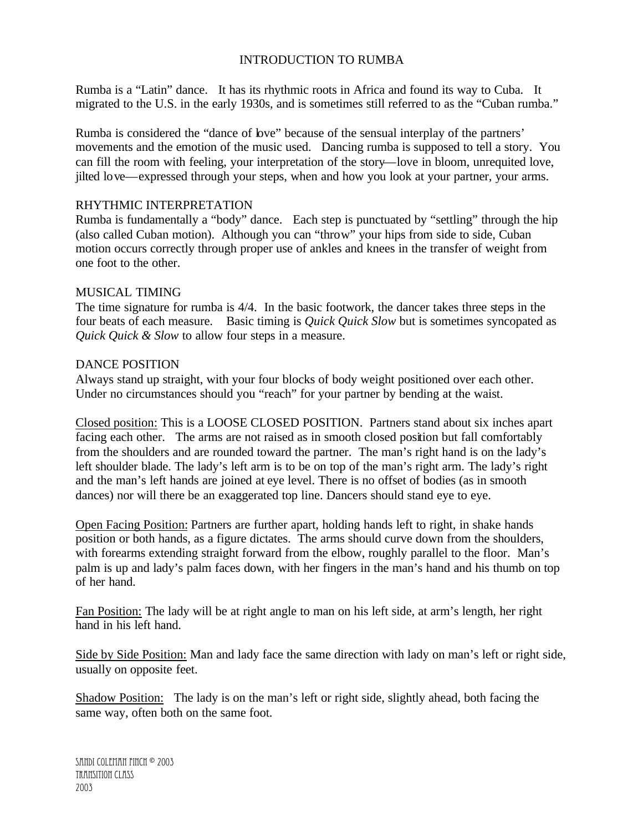# INTRODUCTION TO RUMBA

Rumba is a "Latin" dance. It has its rhythmic roots in Africa and found its way to Cuba. It migrated to the U.S. in the early 1930s, and is sometimes still referred to as the "Cuban rumba."

Rumba is considered the "dance of love" because of the sensual interplay of the partners' movements and the emotion of the music used. Dancing rumba is supposed to tell a story. You can fill the room with feeling, your interpretation of the story—love in bloom, unrequited love, jilted love—expressed through your steps, when and how you look at your partner, your arms.

#### RHYTHMIC INTERPRETATION

Rumba is fundamentally a "body" dance. Each step is punctuated by "settling" through the hip (also called Cuban motion). Although you can "throw" your hips from side to side, Cuban motion occurs correctly through proper use of ankles and knees in the transfer of weight from one foot to the other.

# MUSICAL TIMING

The time signature for rumba is 4/4. In the basic footwork, the dancer takes three steps in the four beats of each measure. Basic timing is *Quick Quick Slow* but is sometimes syncopated as *Quick Quick & Slow* to allow four steps in a measure.

# DANCE POSITION

Always stand up straight, with your four blocks of body weight positioned over each other. Under no circumstances should you "reach" for your partner by bending at the waist.

Closed position: This is a LOOSE CLOSED POSITION. Partners stand about six inches apart facing each other. The arms are not raised as in smooth closed position but fall comfortably from the shoulders and are rounded toward the partner. The man's right hand is on the lady's left shoulder blade. The lady's left arm is to be on top of the man's right arm. The lady's right and the man's left hands are joined at eye level. There is no offset of bodies (as in smooth dances) nor will there be an exaggerated top line. Dancers should stand eye to eye.

Open Facing Position: Partners are further apart, holding hands left to right, in shake hands position or both hands, as a figure dictates. The arms should curve down from the shoulders, with forearms extending straight forward from the elbow, roughly parallel to the floor. Man's palm is up and lady's palm faces down, with her fingers in the man's hand and his thumb on top of her hand.

Fan Position: The lady will be at right angle to man on his left side, at arm's length, her right hand in his left hand.

Side by Side Position: Man and lady face the same direction with lady on man's left or right side, usually on opposite feet.

Shadow Position: The lady is on the man's left or right side, slightly ahead, both facing the same way, often both on the same foot.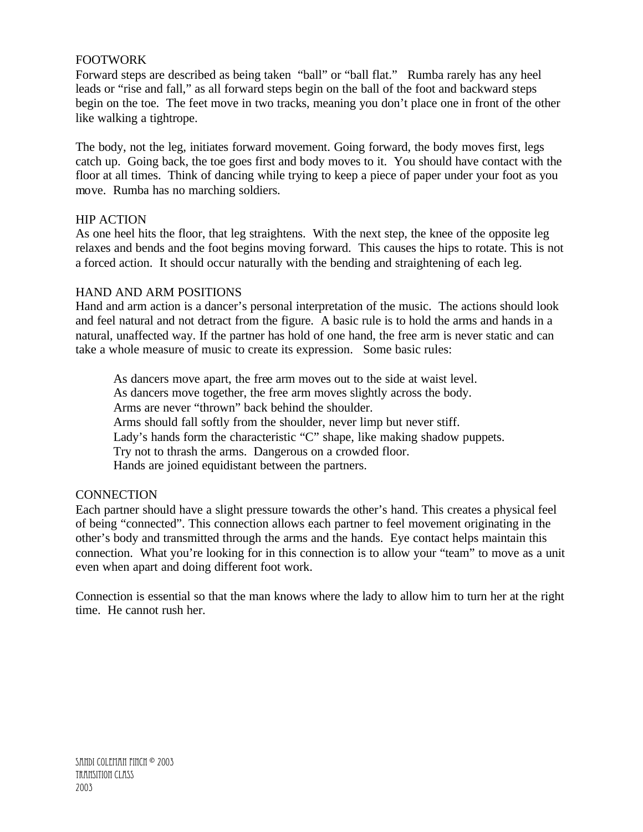# FOOTWORK

Forward steps are described as being taken "ball" or "ball flat." Rumba rarely has any heel leads or "rise and fall," as all forward steps begin on the ball of the foot and backward steps begin on the toe. The feet move in two tracks, meaning you don't place one in front of the other like walking a tightrope.

The body, not the leg, initiates forward movement. Going forward, the body moves first, legs catch up. Going back, the toe goes first and body moves to it. You should have contact with the floor at all times. Think of dancing while trying to keep a piece of paper under your foot as you move. Rumba has no marching soldiers.

#### HIP ACTION

As one heel hits the floor, that leg straightens. With the next step, the knee of the opposite leg relaxes and bends and the foot begins moving forward. This causes the hips to rotate. This is not a forced action. It should occur naturally with the bending and straightening of each leg.

# HAND AND ARM POSITIONS

Hand and arm action is a dancer's personal interpretation of the music. The actions should look and feel natural and not detract from the figure. A basic rule is to hold the arms and hands in a natural, unaffected way. If the partner has hold of one hand, the free arm is never static and can take a whole measure of music to create its expression. Some basic rules:

As dancers move apart, the free arm moves out to the side at waist level. As dancers move together, the free arm moves slightly across the body. Arms are never "thrown" back behind the shoulder. Arms should fall softly from the shoulder, never limp but never stiff. Lady's hands form the characteristic "C" shape, like making shadow puppets. Try not to thrash the arms. Dangerous on a crowded floor. Hands are joined equidistant between the partners.

#### **CONNECTION**

Each partner should have a slight pressure towards the other's hand. This creates a physical feel of being "connected". This connection allows each partner to feel movement originating in the other's body and transmitted through the arms and the hands. Eye contact helps maintain this connection. What you're looking for in this connection is to allow your "team" to move as a unit even when apart and doing different foot work.

Connection is essential so that the man knows where the lady to allow him to turn her at the right time. He cannot rush her.